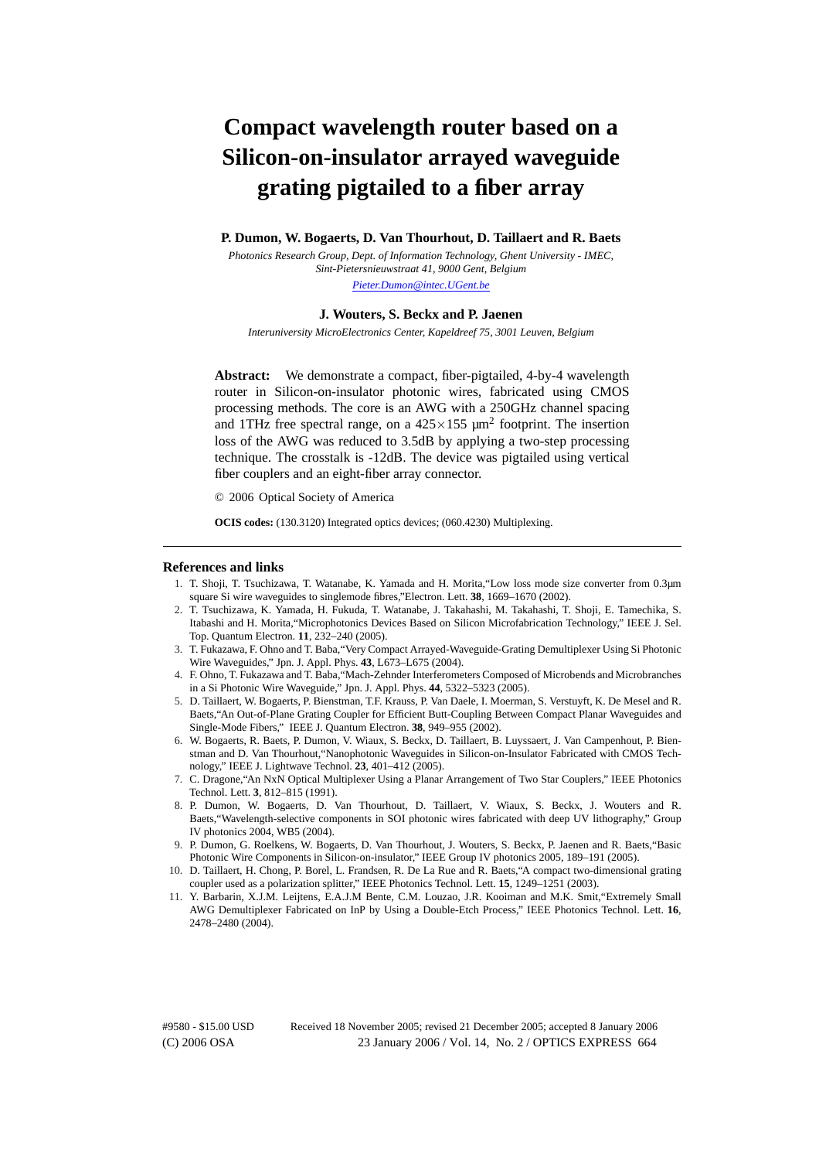# **Compact wavelength router based on a Silicon-on-insulator arrayed waveguide grating pigtailed to a fiber array**

#### **P. Dumon, W. Bogaerts, D. Van Thourhout, D. Taillaert and R. Baets**

*Photonics Research Group, Dept. of Information Technology, Ghent University - IMEC, Sint-Pietersnieuwstraat 41, 9000 Gent, Belgium [Pieter.Dumon@intec.UGent.be](mailto:Pieter.Dumon@intec.UGent.be)*

## **J. Wouters, S. Beckx and P. Jaenen**

*Interuniversity MicroElectronics Center, Kapeldreef 75, 3001 Leuven, Belgium*

**Abstract:** We demonstrate a compact, fiber-pigtailed, 4-by-4 wavelength router in Silicon-on-insulator photonic wires, fabricated using CMOS processing methods. The core is an AWG with a 250GHz channel spacing and 1THz free spectral range, on a  $425 \times 155 \mu m^2$  footprint. The insertion loss of the AWG was reduced to 3.5dB by applying a two-step processing technique. The crosstalk is -12dB. The device was pigtailed using vertical fiber couplers and an eight-fiber array connector.

© 2006 Optical Society of America

**OCIS codes:** (130.3120) Integrated optics devices; (060.4230) Multiplexing.

#### **References and links**

- 1. T. Shoji, T. Tsuchizawa, T. Watanabe, K. Yamada and H. Morita,"Low loss mode size converter from 0.3µm square Si wire waveguides to singlemode fibres,"Electron. Lett. **38**, 1669–1670 (2002).
- 2. T. Tsuchizawa, K. Yamada, H. Fukuda, T. Watanabe, J. Takahashi, M. Takahashi, T. Shoji, E. Tamechika, S. Itabashi and H. Morita,"Microphotonics Devices Based on Silicon Microfabrication Technology," IEEE J. Sel. Top. Quantum Electron. **11**, 232–240 (2005).
- 3. T. Fukazawa, F. Ohno and T. Baba,"Very Compact Arrayed-Waveguide-Grating Demultiplexer Using Si Photonic Wire Waveguides," Jpn. J. Appl. Phys. **43**, L673–L675 (2004).
- 4. F. Ohno, T. Fukazawa and T. Baba,"Mach-Zehnder Interferometers Composed of Microbends and Microbranches in a Si Photonic Wire Waveguide," Jpn. J. Appl. Phys. **44**, 5322–5323 (2005).
- 5. D. Taillaert, W. Bogaerts, P. Bienstman, T.F. Krauss, P. Van Daele, I. Moerman, S. Verstuyft, K. De Mesel and R. Baets,"An Out-of-Plane Grating Coupler for Efficient Butt-Coupling Between Compact Planar Waveguides and Single-Mode Fibers," IEEE J. Quantum Electron. **38**, 949–955 (2002).
- 6. W. Bogaerts, R. Baets, P. Dumon, V. Wiaux, S. Beckx, D. Taillaert, B. Luyssaert, J. Van Campenhout, P. Bienstman and D. Van Thourhout,"Nanophotonic Waveguides in Silicon-on-Insulator Fabricated with CMOS Technology," IEEE J. Lightwave Technol. **23**, 401–412 (2005).
- 7. C. Dragone,"An NxN Optical Multiplexer Using a Planar Arrangement of Two Star Couplers," IEEE Photonics Technol. Lett. **3**, 812–815 (1991).
- 8. P. Dumon, W. Bogaerts, D. Van Thourhout, D. Taillaert, V. Wiaux, S. Beckx, J. Wouters and R. Baets,"Wavelength-selective components in SOI photonic wires fabricated with deep UV lithography," Group IV photonics 2004, WB5 (2004).
- 9. P. Dumon, G. Roelkens, W. Bogaerts, D. Van Thourhout, J. Wouters, S. Beckx, P. Jaenen and R. Baets,"Basic Photonic Wire Components in Silicon-on-insulator," IEEE Group IV photonics 2005, 189–191 (2005).
- 10. D. Taillaert, H. Chong, P. Borel, L. Frandsen, R. De La Rue and R. Baets,"A compact two-dimensional grating coupler used as a polarization splitter," IEEE Photonics Technol. Lett. **15**, 1249–1251 (2003).
- 11. Y. Barbarin, X.J.M. Leijtens, E.A.J.M Bente, C.M. Louzao, J.R. Kooiman and M.K. Smit,"Extremely Small AWG Demultiplexer Fabricated on InP by Using a Double-Etch Process," IEEE Photonics Technol. Lett. **16**, 2478–2480 (2004).

(C) 2006 OSA 23 January 2006 / Vol. 14, No. 2 / OPTICS EXPRESS 664 #9580 - \$15.00 USD Received 18 November 2005; revised 21 December 2005; accepted 8 January 2006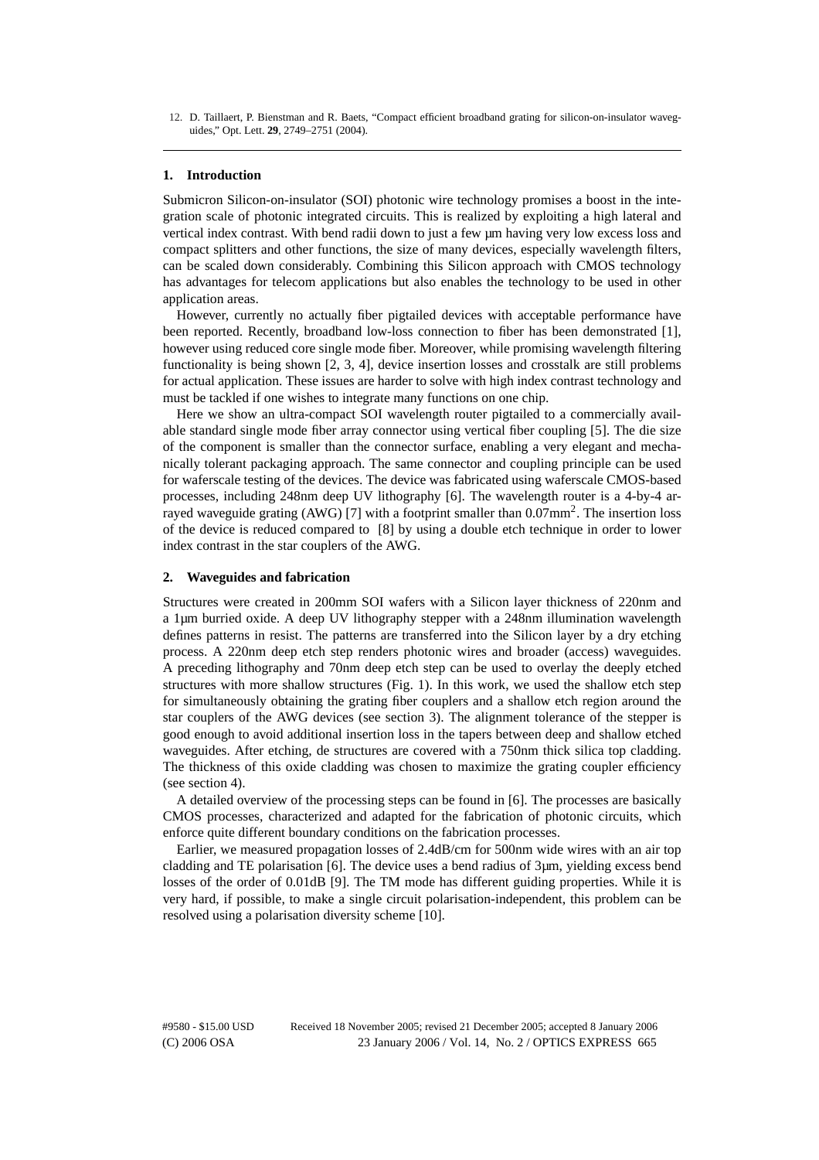12. D. Taillaert, P. Bienstman and R. Baets, "Compact efficient broadband grating for silicon-on-insulator waveguides," Opt. Lett. **29**, 2749–2751 (2004).

#### **1. Introduction**

Submicron Silicon-on-insulator (SOI) photonic wire technology promises a boost in the integration scale of photonic integrated circuits. This is realized by exploiting a high lateral and vertical index contrast. With bend radii down to just a few µm having very low excess loss and compact splitters and other functions, the size of many devices, especially wavelength filters, can be scaled down considerably. Combining this Silicon approach with CMOS technology has advantages for telecom applications but also enables the technology to be used in other application areas.

However, currently no actually fiber pigtailed devices with acceptable performance have been reported. Recently, broadband low-loss connection to fiber has been demonstrated [1], however using reduced core single mode fiber. Moreover, while promising wavelength filtering functionality is being shown [2, 3, 4], device insertion losses and crosstalk are still problems for actual application. These issues are harder to solve with high index contrast technology and must be tackled if one wishes to integrate many functions on one chip.

Here we show an ultra-compact SOI wavelength router pigtailed to a commercially available standard single mode fiber array connector using vertical fiber coupling [5]. The die size of the component is smaller than the connector surface, enabling a very elegant and mechanically tolerant packaging approach. The same connector and coupling principle can be used for waferscale testing of the devices. The device was fabricated using waferscale CMOS-based processes, including 248nm deep UV lithography [6]. The wavelength router is a 4-by-4 arrayed waveguide grating (AWG) [7] with a footprint smaller than  $0.07$ mm<sup>2</sup>. The insertion loss of the device is reduced compared to [8] by using a double etch technique in order to lower index contrast in the star couplers of the AWG.

#### **2. Waveguides and fabrication**

Structures were created in 200mm SOI wafers with a Silicon layer thickness of 220nm and a 1µm burried oxide. A deep UV lithography stepper with a 248nm illumination wavelength defines patterns in resist. The patterns are transferred into the Silicon layer by a dry etching process. A 220nm deep etch step renders photonic wires and broader (access) waveguides. A preceding lithography and 70nm deep etch step can be used to overlay the deeply etched structures with more shallow structures (Fig. 1). In this work, we used the shallow etch step for simultaneously obtaining the grating fiber couplers and a shallow etch region around the star couplers of the AWG devices (see section 3). The alignment tolerance of the stepper is good enough to avoid additional insertion loss in the tapers between deep and shallow etched waveguides. After etching, de structures are covered with a 750nm thick silica top cladding. The thickness of this oxide cladding was chosen to maximize the grating coupler efficiency (see section 4).

A detailed overview of the processing steps can be found in [6]. The processes are basically CMOS processes, characterized and adapted for the fabrication of photonic circuits, which enforce quite different boundary conditions on the fabrication processes.

Earlier, we measured propagation losses of 2.4dB/cm for 500nm wide wires with an air top cladding and TE polarisation [6]. The device uses a bend radius of 3µm, yielding excess bend losses of the order of 0.01dB [9]. The TM mode has different guiding properties. While it is very hard, if possible, to make a single circuit polarisation-independent, this problem can be resolved using a polarisation diversity scheme [10].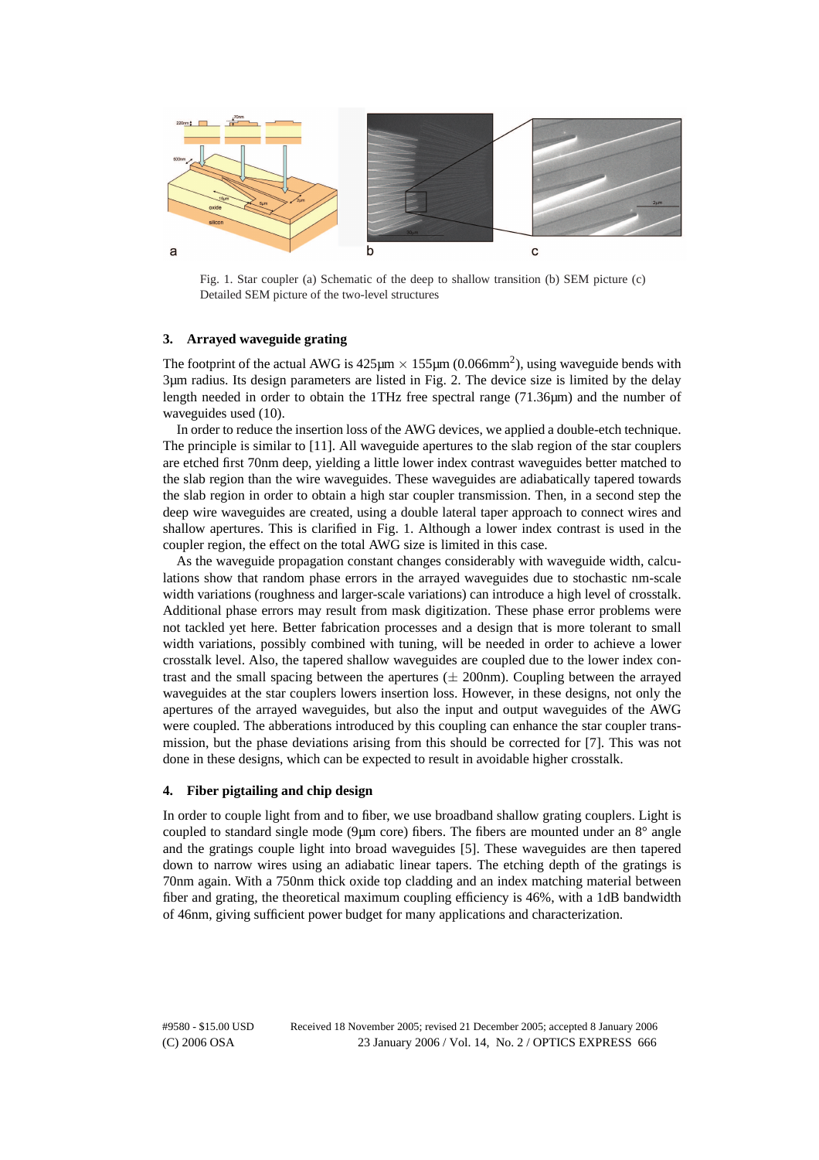

Fig. 1. Star coupler (a) Schematic of the deep to shallow transition (b) SEM picture (c) Detailed SEM picture of the two-level structures

### **3. Arrayed waveguide grating**

The footprint of the actual AWG is  $425\mu m \times 155\mu m$  (0.066mm<sup>2</sup>), using waveguide bends with 3µm radius. Its design parameters are listed in Fig. 2. The device size is limited by the delay length needed in order to obtain the 1THz free spectral range (71.36µm) and the number of waveguides used (10).

In order to reduce the insertion loss of the AWG devices, we applied a double-etch technique. The principle is similar to [11]. All waveguide apertures to the slab region of the star couplers are etched first 70nm deep, yielding a little lower index contrast waveguides better matched to the slab region than the wire waveguides. These waveguides are adiabatically tapered towards the slab region in order to obtain a high star coupler transmission. Then, in a second step the deep wire waveguides are created, using a double lateral taper approach to connect wires and shallow apertures. This is clarified in Fig. 1. Although a lower index contrast is used in the coupler region, the effect on the total AWG size is limited in this case.

As the waveguide propagation constant changes considerably with waveguide width, calculations show that random phase errors in the arrayed waveguides due to stochastic nm-scale width variations (roughness and larger-scale variations) can introduce a high level of crosstalk. Additional phase errors may result from mask digitization. These phase error problems were not tackled yet here. Better fabrication processes and a design that is more tolerant to small width variations, possibly combined with tuning, will be needed in order to achieve a lower crosstalk level. Also, the tapered shallow waveguides are coupled due to the lower index contrast and the small spacing between the apertures  $(\pm 200$ nm). Coupling between the arrayed waveguides at the star couplers lowers insertion loss. However, in these designs, not only the apertures of the arrayed waveguides, but also the input and output waveguides of the AWG were coupled. The abberations introduced by this coupling can enhance the star coupler transmission, but the phase deviations arising from this should be corrected for [7]. This was not done in these designs, which can be expected to result in avoidable higher crosstalk.

### **4. Fiber pigtailing and chip design**

In order to couple light from and to fiber, we use broadband shallow grating couplers. Light is coupled to standard single mode (9µm core) fibers. The fibers are mounted under an 8° angle and the gratings couple light into broad waveguides [5]. These waveguides are then tapered down to narrow wires using an adiabatic linear tapers. The etching depth of the gratings is 70nm again. With a 750nm thick oxide top cladding and an index matching material between fiber and grating, the theoretical maximum coupling efficiency is 46%, with a 1dB bandwidth of 46nm, giving sufficient power budget for many applications and characterization.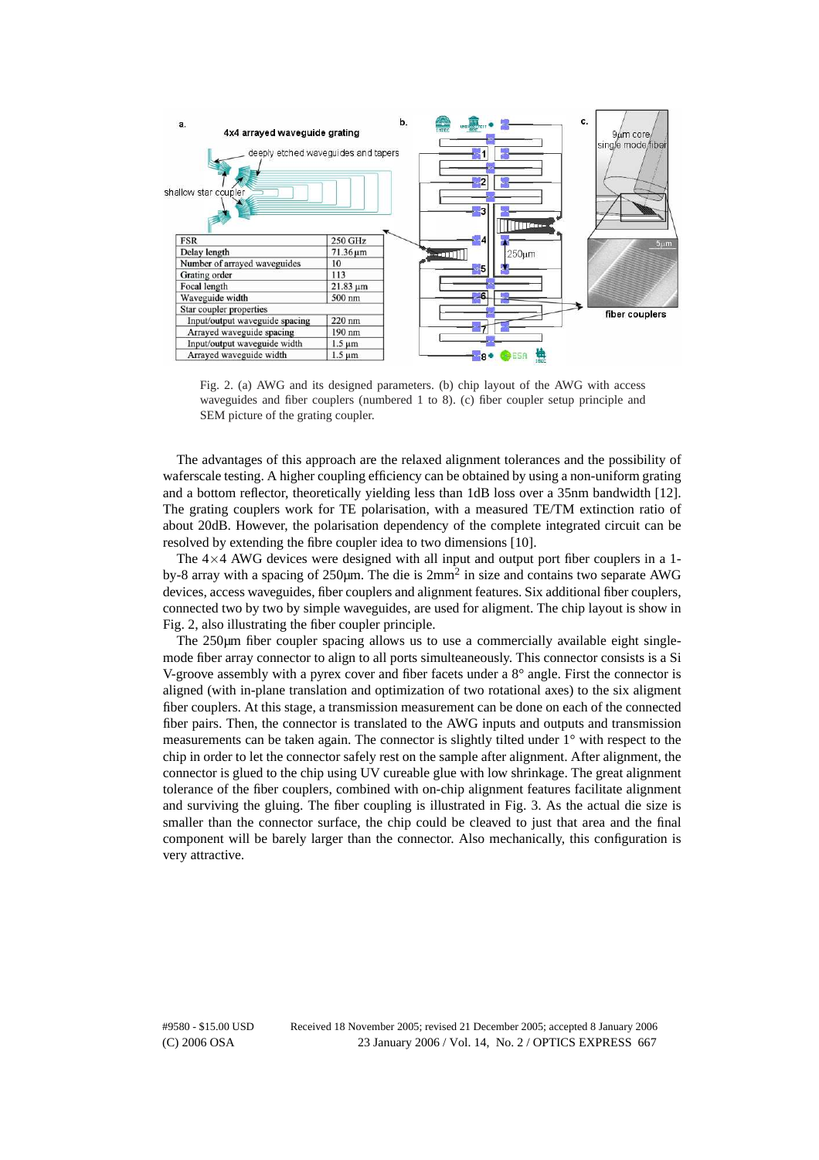

Fig. 2. (a) AWG and its designed parameters. (b) chip layout of the AWG with access waveguides and fiber couplers (numbered 1 to 8). (c) fiber coupler setup principle and SEM picture of the grating coupler.

The advantages of this approach are the relaxed alignment tolerances and the possibility of waferscale testing. A higher coupling efficiency can be obtained by using a non-uniform grating and a bottom reflector, theoretically yielding less than 1dB loss over a 35nm bandwidth [12]. The grating couplers work for TE polarisation, with a measured TE/TM extinction ratio of about 20dB. However, the polarisation dependency of the complete integrated circuit can be resolved by extending the fibre coupler idea to two dimensions [10].

The  $4\times4$  AWG devices were designed with all input and output port fiber couplers in a 1by-8 array with a spacing of 250 $\mu$ m. The die is  $2mm^2$  in size and contains two separate AWG devices, access waveguides, fiber couplers and alignment features. Six additional fiber couplers, connected two by two by simple waveguides, are used for aligment. The chip layout is show in Fig. 2, also illustrating the fiber coupler principle.

The 250µm fiber coupler spacing allows us to use a commercially available eight singlemode fiber array connector to align to all ports simulteaneously. This connector consists is a Si V-groove assembly with a pyrex cover and fiber facets under a 8° angle. First the connector is aligned (with in-plane translation and optimization of two rotational axes) to the six aligment fiber couplers. At this stage, a transmission measurement can be done on each of the connected fiber pairs. Then, the connector is translated to the AWG inputs and outputs and transmission measurements can be taken again. The connector is slightly tilted under 1° with respect to the chip in order to let the connector safely rest on the sample after alignment. After alignment, the connector is glued to the chip using UV cureable glue with low shrinkage. The great alignment tolerance of the fiber couplers, combined with on-chip alignment features facilitate alignment and surviving the gluing. The fiber coupling is illustrated in Fig. 3. As the actual die size is smaller than the connector surface, the chip could be cleaved to just that area and the final component will be barely larger than the connector. Also mechanically, this configuration is very attractive.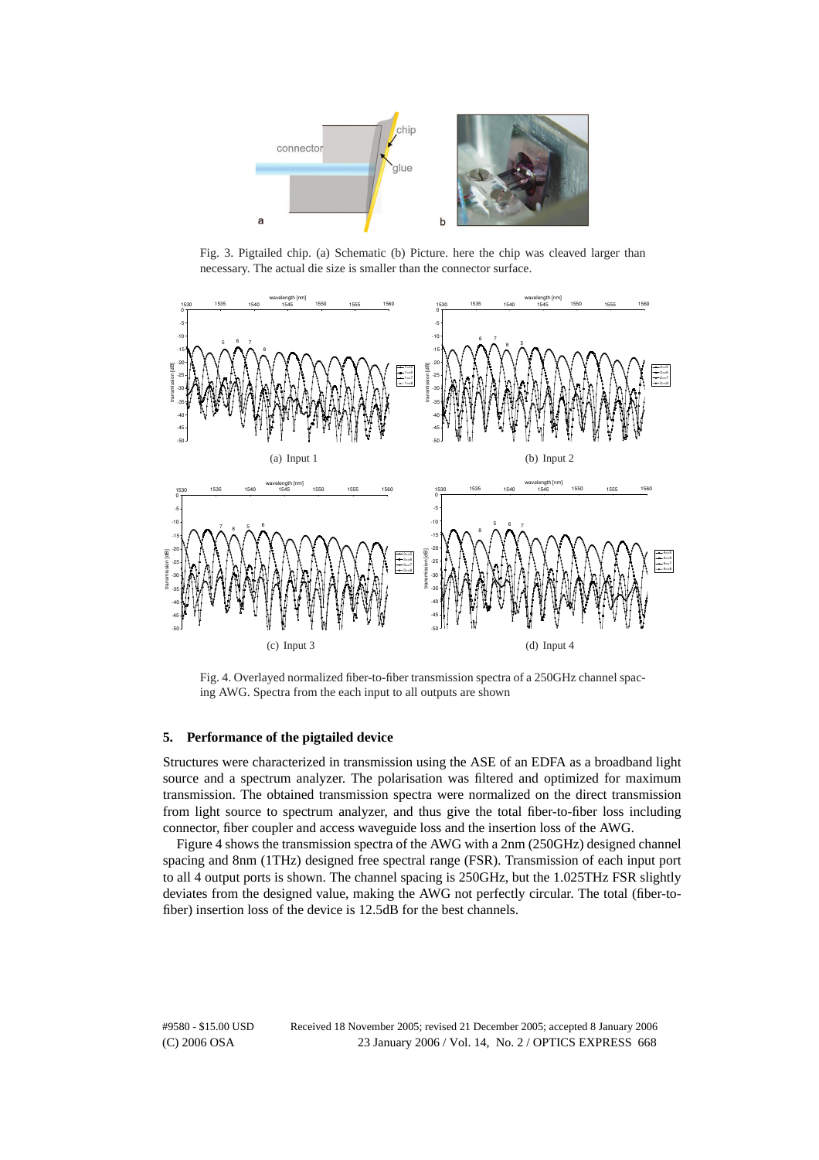

Fig. 3. Pigtailed chip. (a) Schematic (b) Picture. here the chip was cleaved larger than necessary. The actual die size is smaller than the connector surface.



Fig. 4. Overlayed normalized fiber-to-fiber transmission spectra of a 250GHz channel spacing AWG. Spectra from the each input to all outputs are shown

#### **5. Performance of the pigtailed device**

Structures were characterized in transmission using the ASE of an EDFA as a broadband light source and a spectrum analyzer. The polarisation was filtered and optimized for maximum transmission. The obtained transmission spectra were normalized on the direct transmission from light source to spectrum analyzer, and thus give the total fiber-to-fiber loss including connector, fiber coupler and access waveguide loss and the insertion loss of the AWG.

Figure 4 shows the transmission spectra of the AWG with a 2nm (250GHz) designed channel spacing and 8nm (1THz) designed free spectral range (FSR). Transmission of each input port to all 4 output ports is shown. The channel spacing is 250GHz, but the 1.025THz FSR slightly deviates from the designed value, making the AWG not perfectly circular. The total (fiber-tofiber) insertion loss of the device is 12.5dB for the best channels.

(C) 2006 OSA 23 January 2006 / Vol. 14, No. 2 / OPTICS EXPRESS 668 #9580 - \$15.00 USD Received 18 November 2005; revised 21 December 2005; accepted 8 January 2006